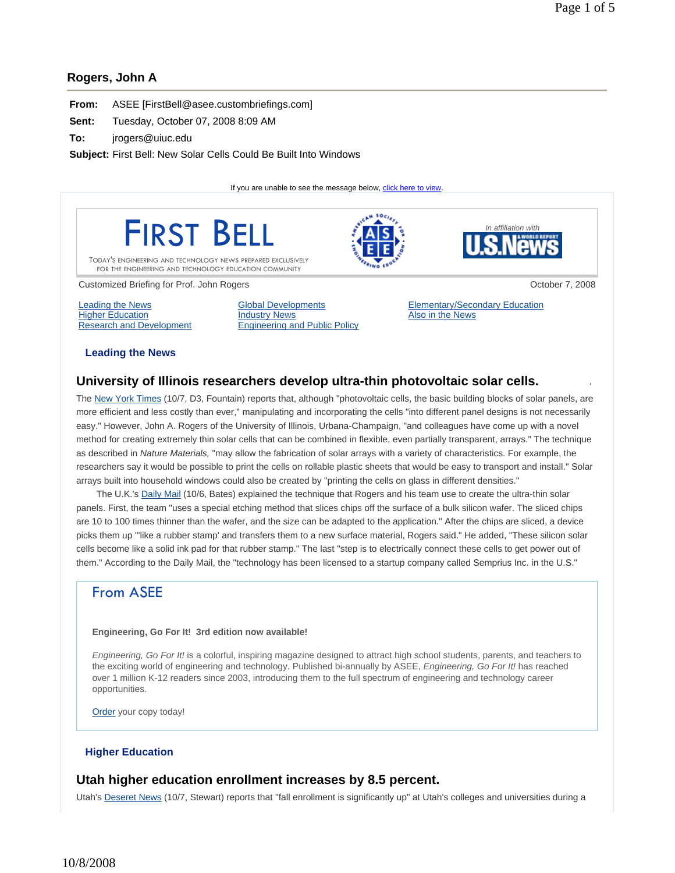### **Rogers, John A**

| From: | ASEE [FirstBell@asee.custombriefings.com] |  |
|-------|-------------------------------------------|--|
|-------|-------------------------------------------|--|

**Sent:** Tuesday, October 07, 2008 8:09 AM

**To:** jrogers@uiuc.edu

**Subject:** First Bell: New Solar Cells Could Be Built Into Windows

If you are unable to see the message below, click here to view.



**Leading the News** 

# **University of Illinois researchers develop ultra-thin photovoltaic solar cells.**

The New York Times (10/7, D3, Fountain) reports that, although "photovoltaic cells, the basic building blocks of solar panels, are more efficient and less costly than ever," manipulating and incorporating the cells "into different panel designs is not necessarily easy." However, John A. Rogers of the University of Illinois, Urbana-Champaign, "and colleagues have come up with a novel method for creating extremely thin solar cells that can be combined in flexible, even partially transparent, arrays." The technique as described in *Nature Materials,* "may allow the fabrication of solar arrays with a variety of characteristics. For example, the researchers say it would be possible to print the cells on rollable plastic sheets that would be easy to transport and install." Solar arrays built into household windows could also be created by "printing the cells on glass in different densities."

The U.K.'s Daily Mail (10/6, Bates) explained the technique that Rogers and his team use to create the ultra-thin solar panels. First, the team "uses a special etching method that slices chips off the surface of a bulk silicon wafer. The sliced chips are 10 to 100 times thinner than the wafer, and the size can be adapted to the application." After the chips are sliced, a device picks them up "'like a rubber stamp' and transfers them to a new surface material, Rogers said." He added, "These silicon solar cells become like a solid ink pad for that rubber stamp." The last "step is to electrically connect these cells to get power out of them." According to the Daily Mail, the "technology has been licensed to a startup company called Semprius Inc. in the U.S."

# From ASEE

#### **Engineering, Go For It! 3rd edition now available!**

*Engineering, Go For It!* is a colorful, inspiring magazine designed to attract high school students, parents, and teachers to the exciting world of engineering and technology. Published bi-annually by ASEE, *Engineering, Go For It!* has reached over 1 million K-12 readers since 2003, introducing them to the full spectrum of engineering and technology career opportunities.

Order your copy today!

#### **Higher Education**

# **Utah higher education enrollment increases by 8.5 percent.**

Utah's Deseret News (10/7, Stewart) reports that "fall enrollment is significantly up" at Utah's colleges and universities during a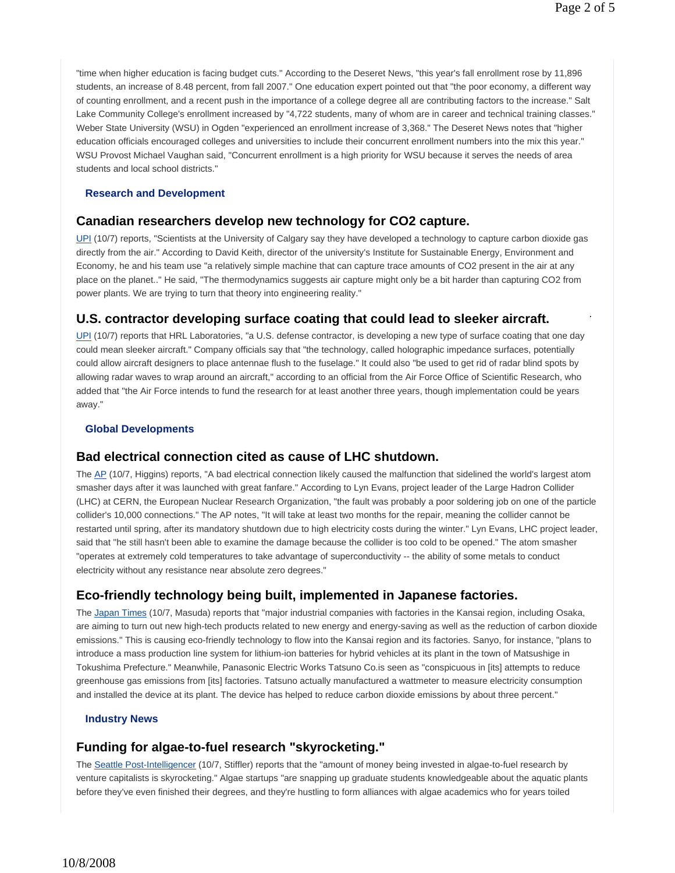"time when higher education is facing budget cuts." According to the Deseret News, "this year's fall enrollment rose by 11,896 students, an increase of 8.48 percent, from fall 2007." One education expert pointed out that "the poor economy, a different way of counting enrollment, and a recent push in the importance of a college degree all are contributing factors to the increase." Salt Lake Community College's enrollment increased by "4,722 students, many of whom are in career and technical training classes." Weber State University (WSU) in Ogden "experienced an enrollment increase of 3,368." The Deseret News notes that "higher education officials encouraged colleges and universities to include their concurrent enrollment numbers into the mix this year." WSU Provost Michael Vaughan said, "Concurrent enrollment is a high priority for WSU because it serves the needs of area students and local school districts."

#### **Research and Development**

# **Canadian researchers develop new technology for CO2 capture.**

UPI (10/7) reports, "Scientists at the University of Calgary say they have developed a technology to capture carbon dioxide gas directly from the air." According to David Keith, director of the university's Institute for Sustainable Energy, Environment and Economy, he and his team use "a relatively simple machine that can capture trace amounts of CO2 present in the air at any place on the planet.." He said, "The thermodynamics suggests air capture might only be a bit harder than capturing CO2 from power plants. We are trying to turn that theory into engineering reality."

# **U.S. contractor developing surface coating that could lead to sleeker aircraft.**

UPI (10/7) reports that HRL Laboratories, "a U.S. defense contractor, is developing a new type of surface coating that one day could mean sleeker aircraft." Company officials say that "the technology, called holographic impedance surfaces, potentially could allow aircraft designers to place antennae flush to the fuselage." It could also "be used to get rid of radar blind spots by allowing radar waves to wrap around an aircraft," according to an official from the Air Force Office of Scientific Research, who added that "the Air Force intends to fund the research for at least another three years, though implementation could be years away."

#### **Global Developments**

#### **Bad electrical connection cited as cause of LHC shutdown.**

The AP (10/7, Higgins) reports, "A bad electrical connection likely caused the malfunction that sidelined the world's largest atom smasher days after it was launched with great fanfare." According to Lyn Evans, project leader of the Large Hadron Collider (LHC) at CERN, the European Nuclear Research Organization, "the fault was probably a poor soldering job on one of the particle collider's 10,000 connections." The AP notes, "It will take at least two months for the repair, meaning the collider cannot be restarted until spring, after its mandatory shutdown due to high electricity costs during the winter." Lyn Evans, LHC project leader, said that "he still hasn't been able to examine the damage because the collider is too cold to be opened." The atom smasher "operates at extremely cold temperatures to take advantage of superconductivity -- the ability of some metals to conduct electricity without any resistance near absolute zero degrees."

# **Eco-friendly technology being built, implemented in Japanese factories.**

The Japan Times (10/7, Masuda) reports that "major industrial companies with factories in the Kansai region, including Osaka, are aiming to turn out new high-tech products related to new energy and energy-saving as well as the reduction of carbon dioxide emissions." This is causing eco-friendly technology to flow into the Kansai region and its factories. Sanyo, for instance, "plans to introduce a mass production line system for lithium-ion batteries for hybrid vehicles at its plant in the town of Matsushige in Tokushima Prefecture." Meanwhile, Panasonic Electric Works Tatsuno Co.is seen as "conspicuous in [its] attempts to reduce greenhouse gas emissions from [its] factories. Tatsuno actually manufactured a wattmeter to measure electricity consumption and installed the device at its plant. The device has helped to reduce carbon dioxide emissions by about three percent."

#### **Industry News**

# **Funding for algae-to-fuel research "skyrocketing."**

The Seattle Post-Intelligencer (10/7, Stiffler) reports that the "amount of money being invested in algae-to-fuel research by venture capitalists is skyrocketing." Algae startups "are snapping up graduate students knowledgeable about the aquatic plants before they've even finished their degrees, and they're hustling to form alliances with algae academics who for years toiled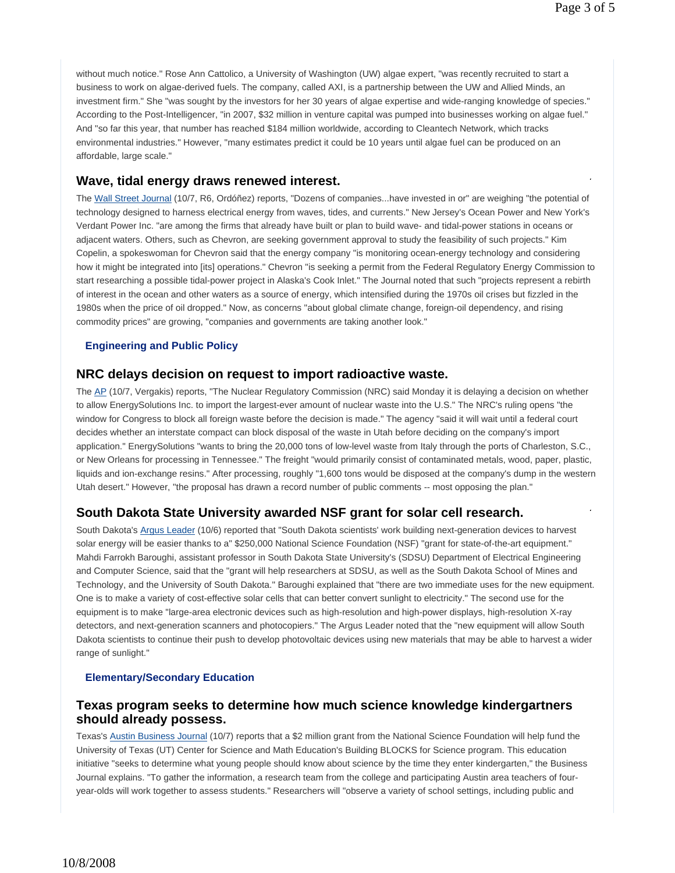without much notice." Rose Ann Cattolico, a University of Washington (UW) algae expert, "was recently recruited to start a business to work on algae-derived fuels. The company, called AXI, is a partnership between the UW and Allied Minds, an investment firm." She "was sought by the investors for her 30 years of algae expertise and wide-ranging knowledge of species." According to the Post-Intelligencer, "in 2007, \$32 million in venture capital was pumped into businesses working on algae fuel." And "so far this year, that number has reached \$184 million worldwide, according to Cleantech Network, which tracks environmental industries." However, "many estimates predict it could be 10 years until algae fuel can be produced on an affordable, large scale."

# **Wave, tidal energy draws renewed interest.**

The Wall Street Journal (10/7, R6, Ordóñez) reports, "Dozens of companies...have invested in or" are weighing "the potential of technology designed to harness electrical energy from waves, tides, and currents." New Jersey's Ocean Power and New York's Verdant Power Inc. "are among the firms that already have built or plan to build wave- and tidal-power stations in oceans or adjacent waters. Others, such as Chevron, are seeking government approval to study the feasibility of such projects." Kim Copelin, a spokeswoman for Chevron said that the energy company "is monitoring ocean-energy technology and considering how it might be integrated into [its] operations." Chevron "is seeking a permit from the Federal Regulatory Energy Commission to start researching a possible tidal-power project in Alaska's Cook Inlet." The Journal noted that such "projects represent a rebirth of interest in the ocean and other waters as a source of energy, which intensified during the 1970s oil crises but fizzled in the 1980s when the price of oil dropped." Now, as concerns "about global climate change, foreign-oil dependency, and rising commodity prices" are growing, "companies and governments are taking another look."

#### **Engineering and Public Policy**

# **NRC delays decision on request to import radioactive waste.**

The AP (10/7, Vergakis) reports, "The Nuclear Regulatory Commission (NRC) said Monday it is delaying a decision on whether to allow EnergySolutions Inc. to import the largest-ever amount of nuclear waste into the U.S." The NRC's ruling opens "the window for Congress to block all foreign waste before the decision is made." The agency "said it will wait until a federal court decides whether an interstate compact can block disposal of the waste in Utah before deciding on the company's import application." EnergySolutions "wants to bring the 20,000 tons of low-level waste from Italy through the ports of Charleston, S.C., or New Orleans for processing in Tennessee." The freight "would primarily consist of contaminated metals, wood, paper, plastic, liquids and ion-exchange resins." After processing, roughly "1,600 tons would be disposed at the company's dump in the western Utah desert." However, "the proposal has drawn a record number of public comments -- most opposing the plan."

# **South Dakota State University awarded NSF grant for solar cell research.**

South Dakota's Argus Leader (10/6) reported that "South Dakota scientists' work building next-generation devices to harvest solar energy will be easier thanks to a" \$250,000 National Science Foundation (NSF) "grant for state-of-the-art equipment." Mahdi Farrokh Baroughi, assistant professor in South Dakota State University's (SDSU) Department of Electrical Engineering and Computer Science, said that the "grant will help researchers at SDSU, as well as the South Dakota School of Mines and Technology, and the University of South Dakota." Baroughi explained that "there are two immediate uses for the new equipment. One is to make a variety of cost-effective solar cells that can better convert sunlight to electricity." The second use for the equipment is to make "large-area electronic devices such as high-resolution and high-power displays, high-resolution X-ray detectors, and next-generation scanners and photocopiers." The Argus Leader noted that the "new equipment will allow South Dakota scientists to continue their push to develop photovoltaic devices using new materials that may be able to harvest a wider range of sunlight."

#### **Elementary/Secondary Education**

# **Texas program seeks to determine how much science knowledge kindergartners should already possess.**

Texas's Austin Business Journal (10/7) reports that a \$2 million grant from the National Science Foundation will help fund the University of Texas (UT) Center for Science and Math Education's Building BLOCKS for Science program. This education initiative "seeks to determine what young people should know about science by the time they enter kindergarten," the Business Journal explains. "To gather the information, a research team from the college and participating Austin area teachers of fouryear-olds will work together to assess students." Researchers will "observe a variety of school settings, including public and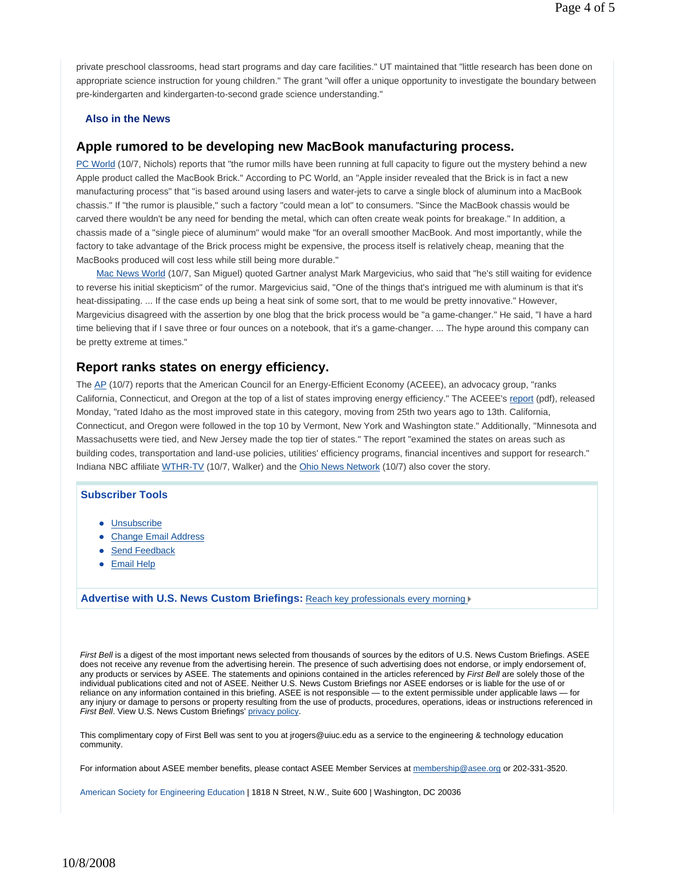private preschool classrooms, head start programs and day care facilities." UT maintained that "little research has been done on appropriate science instruction for young children." The grant "will offer a unique opportunity to investigate the boundary between pre-kindergarten and kindergarten-to-second grade science understanding."

#### **Also in the News**

### **Apple rumored to be developing new MacBook manufacturing process.**

PC World (10/7, Nichols) reports that "the rumor mills have been running at full capacity to figure out the mystery behind a new Apple product called the MacBook Brick." According to PC World, an "Apple insider revealed that the Brick is in fact a new manufacturing process" that "is based around using lasers and water-jets to carve a single block of aluminum into a MacBook chassis." If "the rumor is plausible," such a factory "could mean a lot" to consumers. "Since the MacBook chassis would be carved there wouldn't be any need for bending the metal, which can often create weak points for breakage." In addition, a chassis made of a "single piece of aluminum" would make "for an overall smoother MacBook. And most importantly, while the factory to take advantage of the Brick process might be expensive, the process itself is relatively cheap, meaning that the MacBooks produced will cost less while still being more durable."

Mac News World (10/7, San Miguel) quoted Gartner analyst Mark Margevicius, who said that "he's still waiting for evidence to reverse his initial skepticism" of the rumor. Margevicius said, "One of the things that's intrigued me with aluminum is that it's heat-dissipating. ... If the case ends up being a heat sink of some sort, that to me would be pretty innovative." However, Margevicius disagreed with the assertion by one blog that the brick process would be "a game-changer." He said, "I have a hard time believing that if I save three or four ounces on a notebook, that it's a game-changer. ... The hype around this company can be pretty extreme at times."

#### **Report ranks states on energy efficiency.**

The AP (10/7) reports that the American Council for an Energy-Efficient Economy (ACEEE), an advocacy group, "ranks California, Connecticut, and Oregon at the top of a list of states improving energy efficiency." The ACEEE's report (pdf), released Monday, "rated Idaho as the most improved state in this category, moving from 25th two years ago to 13th. California, Connecticut, and Oregon were followed in the top 10 by Vermont, New York and Washington state." Additionally, "Minnesota and Massachusetts were tied, and New Jersey made the top tier of states." The report "examined the states on areas such as building codes, transportation and land-use policies, utilities' efficiency programs, financial incentives and support for research." Indiana NBC affiliate WTHR-TV (10/7, Walker) and the Ohio News Network (10/7) also cover the story.

#### **Subscriber Tools**

- Unsubscribe
- Change Email Address
- Send Feedback
- Email Help

**Advertise with U.S. News Custom Briefings:** Reach key professionals every morning

*First Bell* is a digest of the most important news selected from thousands of sources by the editors of U.S. News Custom Briefings. ASEE does not receive any revenue from the advertising herein. The presence of such advertising does not endorse, or imply endorsement of, any products or services by ASEE. The statements and opinions contained in the articles referenced by *First Bell* are solely those of the individual publications cited and not of ASEE. Neither U.S. News Custom Briefings nor ASEE endorses or is liable for the use of or reliance on any information contained in this briefing. ASEE is not responsible — to the extent permissible under applicable laws — for any injury or damage to persons or property resulting from the use of products, procedures, operations, ideas or instructions referenced in *First Bell*. View U.S. News Custom Briefings' privacy policy.

This complimentary copy of First Bell was sent to you at jrogers@uiuc.edu as a service to the engineering & technology education community.

For information about ASEE member benefits, please contact ASEE Member Services at membership@asee.org or 202-331-3520.

American Society for Engineering Education | 1818 N Street, N.W., Suite 600 | Washington, DC 20036